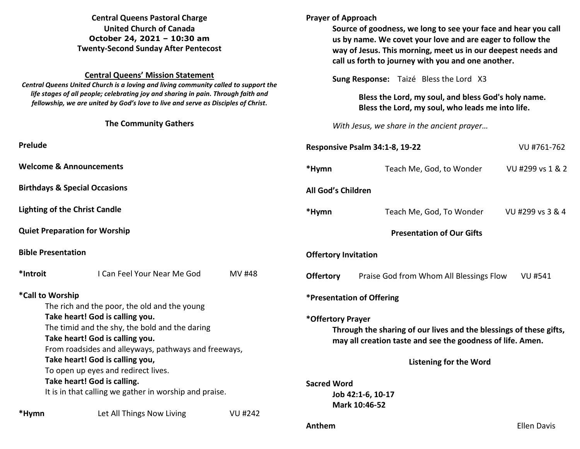| <b>Central Queens Pastoral Charge</b><br><b>United Church of Canada</b><br>October 24, 2021 - 10:30 am<br><b>Twenty-Second Sunday After Pentecost</b>                                    |                                                                                                                                |                |                                                                                                                                                                                                 | <b>Prayer of Approach</b><br>Source of goodness, we long to see your face and hear you call<br>us by name. We covet your love and are eager to follow the<br>way of Jesus. This morning, meet us in our deepest needs and<br>call us forth to journey with you and one another. |                    |  |
|------------------------------------------------------------------------------------------------------------------------------------------------------------------------------------------|--------------------------------------------------------------------------------------------------------------------------------|----------------|-------------------------------------------------------------------------------------------------------------------------------------------------------------------------------------------------|---------------------------------------------------------------------------------------------------------------------------------------------------------------------------------------------------------------------------------------------------------------------------------|--------------------|--|
| <b>Central Queens' Mission Statement</b><br>Central Queens United Church is a loving and living community called to support the                                                          |                                                                                                                                |                | Sung Response: Taizé Bless the Lord X3<br>Bless the Lord, my soul, and bless God's holy name.<br>Bless the Lord, my soul, who leads me into life.<br>With Jesus, we share in the ancient prayer |                                                                                                                                                                                                                                                                                 |                    |  |
| life stages of all people; celebrating joy and sharing in pain. Through faith and<br>fellowship, we are united by God's love to live and serve as Disciples of Christ.                   |                                                                                                                                |                |                                                                                                                                                                                                 |                                                                                                                                                                                                                                                                                 |                    |  |
| <b>The Community Gathers</b>                                                                                                                                                             |                                                                                                                                |                |                                                                                                                                                                                                 |                                                                                                                                                                                                                                                                                 |                    |  |
| Prelude                                                                                                                                                                                  |                                                                                                                                |                |                                                                                                                                                                                                 | Responsive Psalm 34:1-8, 19-22<br>VU #761-762                                                                                                                                                                                                                                   |                    |  |
| <b>Welcome &amp; Announcements</b>                                                                                                                                                       |                                                                                                                                |                | *Hymn                                                                                                                                                                                           | Teach Me, God, to Wonder                                                                                                                                                                                                                                                        | VU #299 vs 1 & 2   |  |
| <b>Birthdays &amp; Special Occasions</b>                                                                                                                                                 |                                                                                                                                |                | All God's Children                                                                                                                                                                              |                                                                                                                                                                                                                                                                                 |                    |  |
| <b>Lighting of the Christ Candle</b>                                                                                                                                                     |                                                                                                                                |                | *Hymn                                                                                                                                                                                           | Teach Me, God, To Wonder                                                                                                                                                                                                                                                        | VU #299 vs 3 & 4   |  |
| <b>Quiet Preparation for Worship</b>                                                                                                                                                     |                                                                                                                                |                |                                                                                                                                                                                                 | <b>Presentation of Our Gifts</b>                                                                                                                                                                                                                                                |                    |  |
| <b>Bible Presentation</b>                                                                                                                                                                |                                                                                                                                |                | <b>Offertory Invitation</b>                                                                                                                                                                     |                                                                                                                                                                                                                                                                                 |                    |  |
| *Introit                                                                                                                                                                                 | I Can Feel Your Near Me God                                                                                                    | <b>MV#48</b>   | <b>Offertory</b>                                                                                                                                                                                | Praise God from Whom All Blessings Flow                                                                                                                                                                                                                                         | <b>VU #541</b>     |  |
| *Call to Worship<br>The rich and the poor, the old and the young<br>Take heart! God is calling you.<br>The timid and the shy, the bold and the daring<br>Take heart! God is calling you. |                                                                                                                                |                | *Presentation of Offering<br>*Offertory Prayer<br>Through the sharing of our lives and the blessings of these gifts,<br>may all creation taste and see the goodness of life. Amen.              |                                                                                                                                                                                                                                                                                 |                    |  |
|                                                                                                                                                                                          | From roadsides and alleyways, pathways and freeways,<br>Take heart! God is calling you,<br>To open up eyes and redirect lives. |                |                                                                                                                                                                                                 | <b>Listening for the Word</b>                                                                                                                                                                                                                                                   |                    |  |
| Take heart! God is calling.<br>It is in that calling we gather in worship and praise.                                                                                                    |                                                                                                                                |                |                                                                                                                                                                                                 | <b>Sacred Word</b><br>Job 42:1-6, 10-17<br>Mark 10:46-52                                                                                                                                                                                                                        |                    |  |
| *Hymn                                                                                                                                                                                    | Let All Things Now Living                                                                                                      | <b>VU #242</b> | Anthem                                                                                                                                                                                          |                                                                                                                                                                                                                                                                                 | <b>Ellen Davis</b> |  |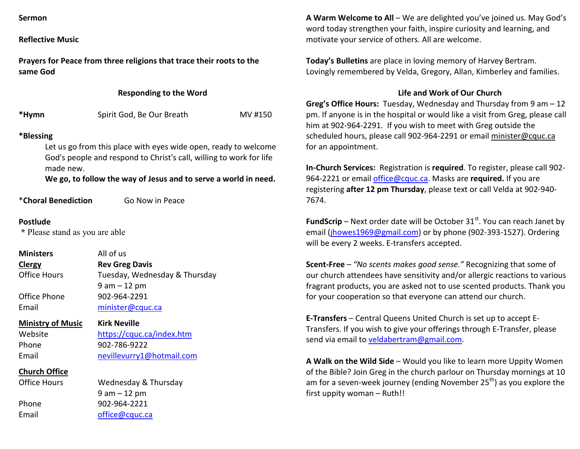| Sermon |
|--------|
|--------|

**Reflective Music** 

**Prayers for Peace from three religions that trace their roots to the same God**

### **Responding to the Word**

| *Hymn | Spirit God, Be Our Breath | MV #150 |
|-------|---------------------------|---------|
|-------|---------------------------|---------|

# **\*Blessing**

Let us go from this place with eyes wide open, ready to welcome God's people and respond to Christ's call, willing to work for life made new.

 **We go, to follow the way of Jesus and to serve a world in need.**

\***Choral Benediction** Go Now in Peace

#### **Postlude**

 **\*** Please stand as you are able

**Ministers All of us ClergyClergy Rev Greg Davis**<br> **Clergy Rev Greg Davis**<br> **Rev Greg Davis** Tuesday, Wednesday & Thursday 9 am – 12 pm Office Phone 902-964-2291 Email minister@cquc.ca

**Ministry of Music Kirk Neville**Website https://cquc.ca/index.htm Phone 902-786-9222

Email nevillevurry1@hotmail.com

**Church Office**

Office Hours

Wednesday & Thursday 9 am – 12 pm Phone 902-964-2221 Email office@cquc.ca

**A Warm Welcome to All** – We are delighted you've joined us. May God's word today strengthen your faith, inspire curiosity and learning, and motivate your service of others. All are welcome.

**Today's Bulletins** are place in loving memory of Harvey Bertram. Lovingly remembered by Velda, Gregory, Allan, Kimberley and families.

## **Life and Work of Our Church**

**Greg's Office Hours:** Tuesday, Wednesday and Thursday from 9 am – 12 pm. If anyone is in the hospital or would like a visit from Greg, please call him at 902-964-2291. If you wish to meet with Greg outside the scheduled hours, please call 902-964-2291 or email minister@cquc.ca for an appointment.

**In-Church Services:** Registration is **required**. To register, please call 902-964-2221 or email office@cquc.ca. Masks are **required.** If you are registering **after 12 pm Thursday**, please text or call Velda at 902-940- 7674.

**FundScrip** – Next order date will be October 31<sup>st</sup>. You can reach Janet by email (jhowes1969@gmail.com) or by phone (902-393-1527). Ordering will be every 2 weeks. E-transfers accepted.

**Scent-Free** – *"No scents makes good sense."* Recognizing that some of our church attendees have sensitivity and/or allergic reactions to various fragrant products, you are asked not to use scented products. Thank you for your cooperation so that everyone can attend our church.

**E-Transfers** – Central Queens United Church is set up to accept E-Transfers. If you wish to give your offerings through E-Transfer, please send via email to veldabertram@gmail.com.

**A Walk on the Wild Side** – Would you like to learn more Uppity Women of the Bible? Join Greg in the church parlour on Thursday mornings at 10 am for a seven-week journey (ending November 25<sup>th</sup>) as you explore the first uppity woman – Ruth!!